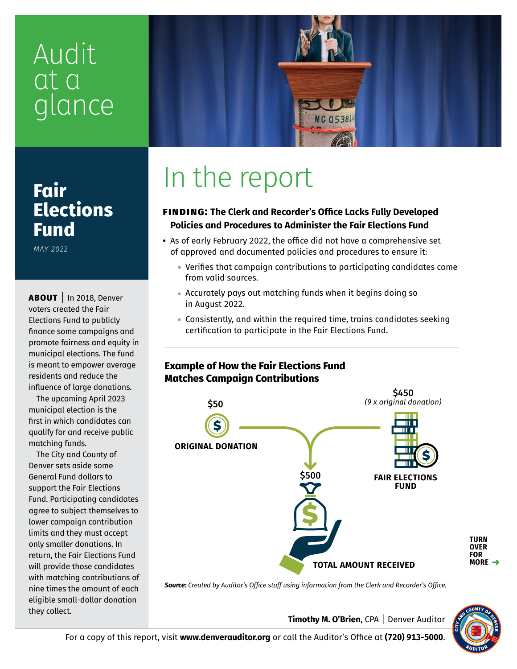## Audit at a glance



### **Fair Elections Fund**

*MAY 2022*

**ABOUT** | In 2018, Denver voters created the Fair Elections Fund to publicly finance some campaigns and promote fairness and equity in municipal elections. The fund is meant to empower average residents and reduce the influence of large donations.

The upcoming April 2023 municipal election is the first in which candidates can qualify for and receive public matching funds.

The City and County of Denver sets aside some General Fund dollars to support the Fair Elections Fund. Participating candidates agree to subject themselves to lower campaign contribution limits and they must accept only smaller donations. In return, the Fair Elections Fund will provide those candidates with matching contributions of nine times the amount of each eligible small-dollar donation they collect.

# In the report

#### **finding: The Clerk and Recorder's Office Lacks Fully Developed Policies and Procedures to Administer the Fair Elections Fund**

- As of early February 2022, the office did not have a comprehensive set of approved and documented policies and procedures to ensure it:
	- Verifies that campaign contributions to participating candidates come from valid sources.
	- Accurately pays out matching funds when it begins doing so in August 2022.
	- Consistently, and within the required time, trains candidates seeking certification to participate in the Fair Elections Fund.

#### **Example of How the Fair Elections Fund Matches Campaign Contributions**



*Source: Created by Auditor's Office staff using information from the Clerk and Recorder's Office.*



**TURN OVER FOR MORE**

**Timothy M. O'Brien**, CPA | Denver Auditor